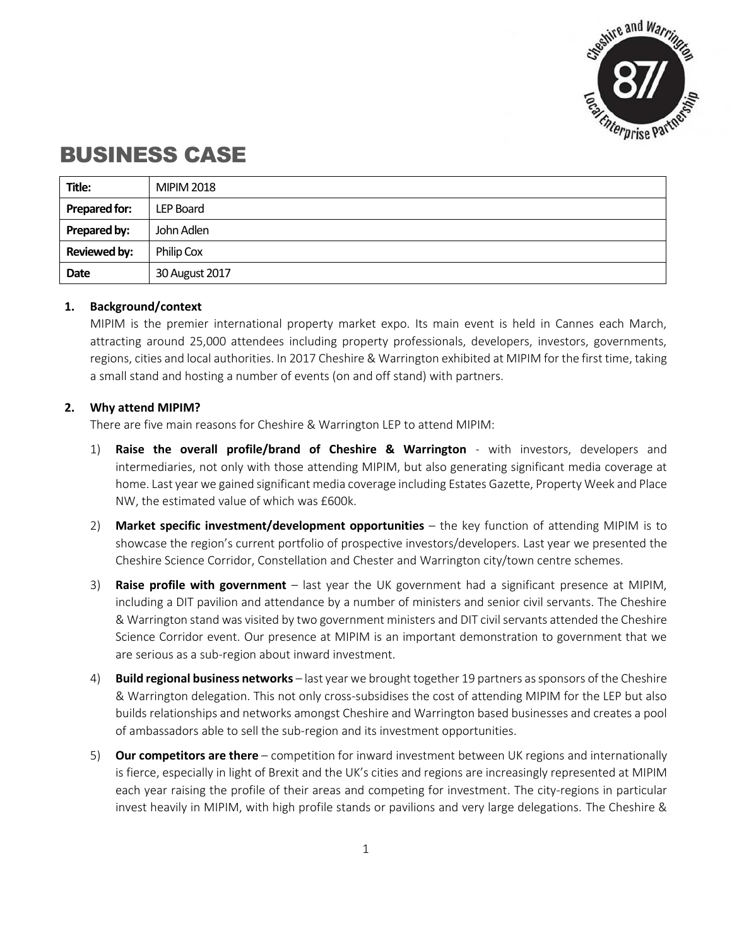

# BUSINESS CASE

| Title:               | <b>MIPIM 2018</b> |
|----------------------|-------------------|
| <b>Prepared for:</b> | LEP Board         |
| Prepared by:         | John Adlen        |
| <b>Reviewed by:</b>  | Philip Cox        |
| Date                 | 30 August 2017    |

## **1. Background/context**

MIPIM is the premier international property market expo. Its main event is held in Cannes each March, attracting around 25,000 attendees including property professionals, developers, investors, governments, regions, cities and local authorities. In 2017 Cheshire & Warrington exhibited at MIPIM for the first time, taking a small stand and hosting a number of events (on and off stand) with partners.

## **2. Why attend MIPIM?**

There are five main reasons for Cheshire & Warrington LEP to attend MIPIM:

- 1) **Raise the overall profile/brand of Cheshire & Warrington** with investors, developers and intermediaries, not only with those attending MIPIM, but also generating significant media coverage at home. Last year we gained significant media coverage including Estates Gazette, Property Week and Place NW, the estimated value of which was £600k.
- 2) **Market specific investment/development opportunities** the key function of attending MIPIM is to showcase the region's current portfolio of prospective investors/developers. Last year we presented the Cheshire Science Corridor, Constellation and Chester and Warrington city/town centre schemes.
- 3) **Raise profile with government** last year the UK government had a significant presence at MIPIM, including a DIT pavilion and attendance by a number of ministers and senior civil servants. The Cheshire & Warrington stand was visited by two government ministers and DIT civil servants attended the Cheshire Science Corridor event. Our presence at MIPIM is an important demonstration to government that we are serious as a sub-region about inward investment.
- 4) **Build regional business networks** last year we brought together 19 partners as sponsors of the Cheshire & Warrington delegation. This not only cross-subsidises the cost of attending MIPIM for the LEP but also builds relationships and networks amongst Cheshire and Warrington based businesses and creates a pool of ambassadors able to sell the sub-region and its investment opportunities.
- 5) **Our competitors are there** competition for inward investment between UK regions and internationally is fierce, especially in light of Brexit and the UK's cities and regions are increasingly represented at MIPIM each year raising the profile of their areas and competing for investment. The city-regions in particular invest heavily in MIPIM, with high profile stands or pavilions and very large delegations. The Cheshire &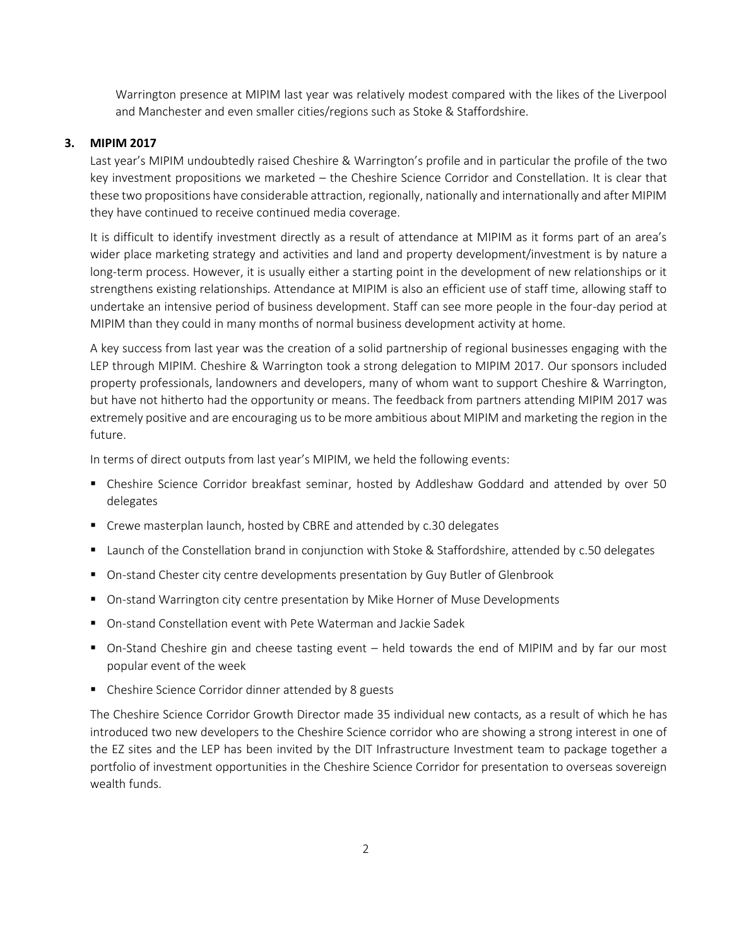Warrington presence at MIPIM last year was relatively modest compared with the likes of the Liverpool and Manchester and even smaller cities/regions such as Stoke & Staffordshire.

#### **3. MIPIM 2017**

Last year's MIPIM undoubtedly raised Cheshire & Warrington's profile and in particular the profile of the two key investment propositions we marketed – the Cheshire Science Corridor and Constellation. It is clear that these two propositions have considerable attraction, regionally, nationally and internationally and after MIPIM they have continued to receive continued media coverage.

It is difficult to identify investment directly as a result of attendance at MIPIM as it forms part of an area's wider place marketing strategy and activities and land and property development/investment is by nature a long-term process. However, it is usually either a starting point in the development of new relationships or it strengthens existing relationships. Attendance at MIPIM is also an efficient use of staff time, allowing staff to undertake an intensive period of business development. Staff can see more people in the four-day period at MIPIM than they could in many months of normal business development activity at home.

A key success from last year was the creation of a solid partnership of regional businesses engaging with the LEP through MIPIM. Cheshire & Warrington took a strong delegation to MIPIM 2017. Our sponsors included property professionals, landowners and developers, many of whom want to support Cheshire & Warrington, but have not hitherto had the opportunity or means. The feedback from partners attending MIPIM 2017 was extremely positive and are encouraging us to be more ambitious about MIPIM and marketing the region in the future.

In terms of direct outputs from last year's MIPIM, we held the following events:

- Cheshire Science Corridor breakfast seminar, hosted by Addleshaw Goddard and attended by over 50 delegates
- Crewe masterplan launch, hosted by CBRE and attended by c.30 delegates
- Launch of the Constellation brand in conjunction with Stoke & Staffordshire, attended by c.50 delegates
- On-stand Chester city centre developments presentation by Guy Butler of Glenbrook
- On-stand Warrington city centre presentation by Mike Horner of Muse Developments
- On-stand Constellation event with Pete Waterman and Jackie Sadek
- On-Stand Cheshire gin and cheese tasting event held towards the end of MIPIM and by far our most popular event of the week
- Cheshire Science Corridor dinner attended by 8 guests

The Cheshire Science Corridor Growth Director made 35 individual new contacts, as a result of which he has introduced two new developers to the Cheshire Science corridor who are showing a strong interest in one of the EZ sites and the LEP has been invited by the DIT Infrastructure Investment team to package together a portfolio of investment opportunities in the Cheshire Science Corridor for presentation to overseas sovereign wealth funds.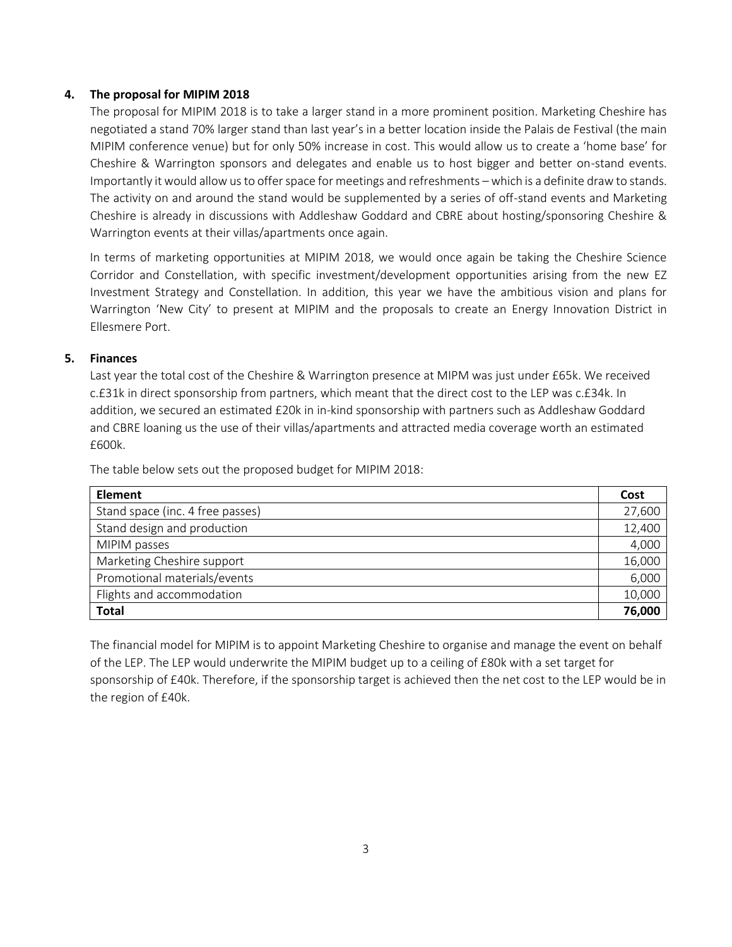## **4. The proposal for MIPIM 2018**

The proposal for MIPIM 2018 is to take a larger stand in a more prominent position. Marketing Cheshire has negotiated a stand 70% larger stand than last year's in a better location inside the Palais de Festival (the main MIPIM conference venue) but for only 50% increase in cost. This would allow us to create a 'home base' for Cheshire & Warrington sponsors and delegates and enable us to host bigger and better on-stand events. Importantly it would allow us to offer space for meetings and refreshments – which is a definite draw to stands. The activity on and around the stand would be supplemented by a series of off-stand events and Marketing Cheshire is already in discussions with Addleshaw Goddard and CBRE about hosting/sponsoring Cheshire & Warrington events at their villas/apartments once again.

In terms of marketing opportunities at MIPIM 2018, we would once again be taking the Cheshire Science Corridor and Constellation, with specific investment/development opportunities arising from the new EZ Investment Strategy and Constellation. In addition, this year we have the ambitious vision and plans for Warrington 'New City' to present at MIPIM and the proposals to create an Energy Innovation District in Ellesmere Port.

## **5. Finances**

Last year the total cost of the Cheshire & Warrington presence at MIPM was just under £65k. We received c.£31k in direct sponsorship from partners, which meant that the direct cost to the LEP was c.£34k. In addition, we secured an estimated £20k in in-kind sponsorship with partners such as Addleshaw Goddard and CBRE loaning us the use of their villas/apartments and attracted media coverage worth an estimated £600k.

The table below sets out the proposed budget for MIPIM 2018:

| <b>Element</b>                   |  |
|----------------------------------|--|
| Stand space (inc. 4 free passes) |  |
| Stand design and production      |  |
| MIPIM passes                     |  |
| Marketing Cheshire support       |  |
| Promotional materials/events     |  |
| Flights and accommodation        |  |
| <b>Total</b>                     |  |

The financial model for MIPIM is to appoint Marketing Cheshire to organise and manage the event on behalf of the LEP. The LEP would underwrite the MIPIM budget up to a ceiling of £80k with a set target for sponsorship of £40k. Therefore, if the sponsorship target is achieved then the net cost to the LEP would be in the region of £40k.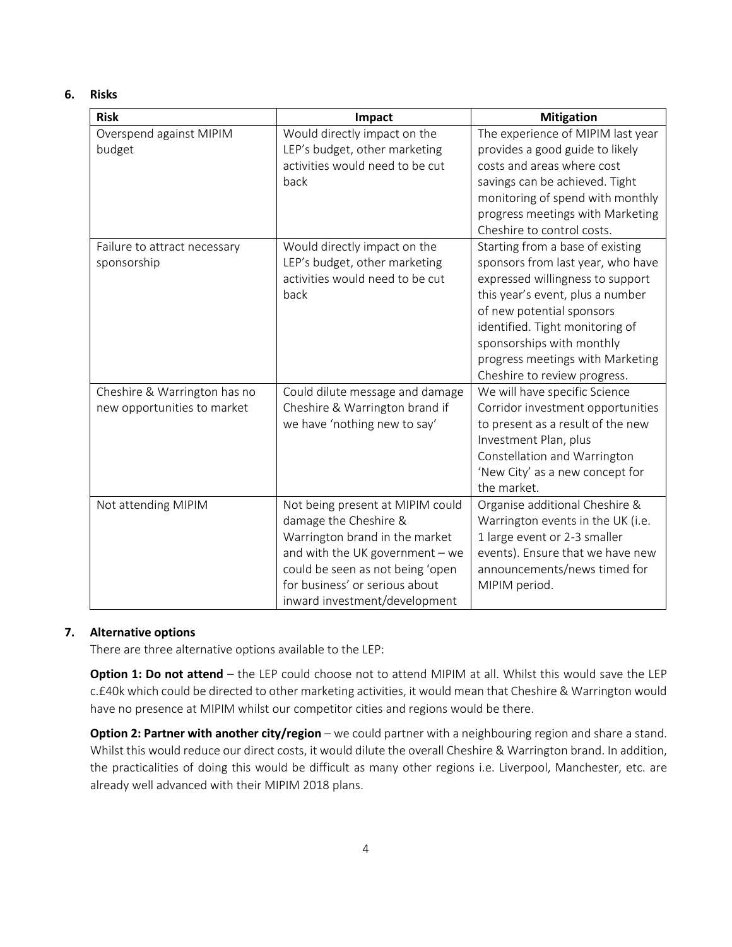#### **6. Risks**

| <b>Risk</b>                                                 | Impact                                                                                                                                                                                                                                | <b>Mitigation</b>                                                                                                                                                                                                                                                                                              |  |
|-------------------------------------------------------------|---------------------------------------------------------------------------------------------------------------------------------------------------------------------------------------------------------------------------------------|----------------------------------------------------------------------------------------------------------------------------------------------------------------------------------------------------------------------------------------------------------------------------------------------------------------|--|
| Overspend against MIPIM<br>budget                           | Would directly impact on the<br>LEP's budget, other marketing<br>activities would need to be cut<br>back                                                                                                                              | The experience of MIPIM last year<br>provides a good guide to likely<br>costs and areas where cost<br>savings can be achieved. Tight<br>monitoring of spend with monthly<br>progress meetings with Marketing<br>Cheshire to control costs.                                                                     |  |
| Failure to attract necessary<br>sponsorship                 | Would directly impact on the<br>LEP's budget, other marketing<br>activities would need to be cut<br>back                                                                                                                              | Starting from a base of existing<br>sponsors from last year, who have<br>expressed willingness to support<br>this year's event, plus a number<br>of new potential sponsors<br>identified. Tight monitoring of<br>sponsorships with monthly<br>progress meetings with Marketing<br>Cheshire to review progress. |  |
| Cheshire & Warrington has no<br>new opportunities to market | Could dilute message and damage<br>Cheshire & Warrington brand if<br>we have 'nothing new to say'                                                                                                                                     | We will have specific Science<br>Corridor investment opportunities<br>to present as a result of the new<br>Investment Plan, plus<br>Constellation and Warrington<br>'New City' as a new concept for<br>the market.                                                                                             |  |
| Not attending MIPIM                                         | Not being present at MIPIM could<br>damage the Cheshire &<br>Warrington brand in the market<br>and with the UK government - we<br>could be seen as not being 'open<br>for business' or serious about<br>inward investment/development | Organise additional Cheshire &<br>Warrington events in the UK (i.e.<br>1 large event or 2-3 smaller<br>events). Ensure that we have new<br>announcements/news timed for<br>MIPIM period.                                                                                                                       |  |

## **7. Alternative options**

There are three alternative options available to the LEP:

**Option 1: Do not attend** – the LEP could choose not to attend MIPIM at all. Whilst this would save the LEP c.£40k which could be directed to other marketing activities, it would mean that Cheshire & Warrington would have no presence at MIPIM whilst our competitor cities and regions would be there.

**Option 2: Partner with another city/region** – we could partner with a neighbouring region and share a stand. Whilst this would reduce our direct costs, it would dilute the overall Cheshire & Warrington brand. In addition, the practicalities of doing this would be difficult as many other regions i.e. Liverpool, Manchester, etc. are already well advanced with their MIPIM 2018 plans.